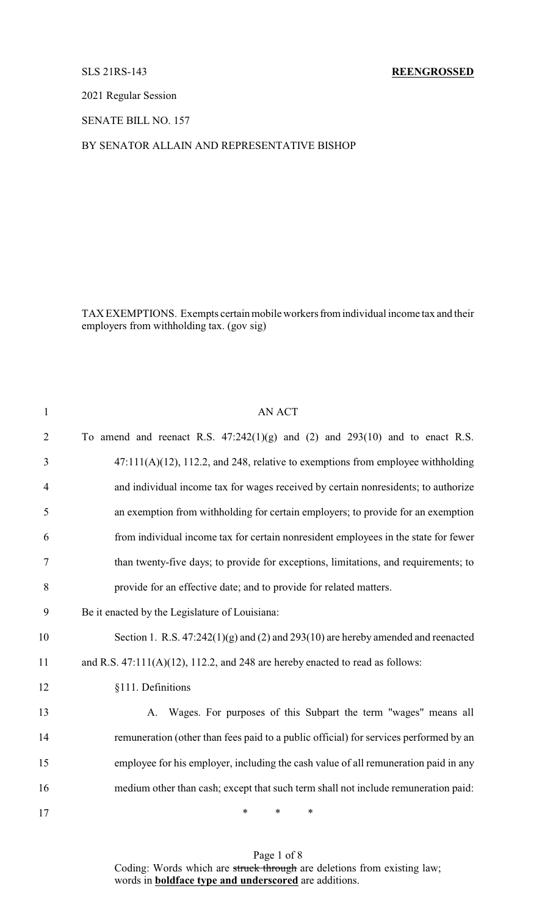### SLS 21RS-143 **REENGROSSED**

2021 Regular Session

SENATE BILL NO. 157

## BY SENATOR ALLAIN AND REPRESENTATIVE BISHOP

TAX EXEMPTIONS. Exempts certain mobile workers from individual income tax and their employers from withholding tax. (gov sig)

| $\mathbf{1}$   | <b>AN ACT</b>                                                                         |
|----------------|---------------------------------------------------------------------------------------|
| $\overline{2}$ | To amend and reenact R.S. $47:242(1)(g)$ and $(2)$ and $293(10)$ and to enact R.S.    |
| 3              | $47:111(A)(12)$ , 112.2, and 248, relative to exemptions from employee withholding    |
| $\overline{4}$ | and individual income tax for wages received by certain nonresidents; to authorize    |
| 5              | an exemption from withholding for certain employers; to provide for an exemption      |
| 6              | from individual income tax for certain nonresident employees in the state for fewer   |
| 7              | than twenty-five days; to provide for exceptions, limitations, and requirements; to   |
| 8              | provide for an effective date; and to provide for related matters.                    |
| 9              | Be it enacted by the Legislature of Louisiana:                                        |
| 10             | Section 1. R.S. $47:242(1)(g)$ and (2) and 293(10) are hereby amended and reenacted   |
| 11             | and R.S. $47:111(A)(12)$ , 112.2, and 248 are hereby enacted to read as follows:      |
| 12             | §111. Definitions                                                                     |
| 13             | A. Wages. For purposes of this Subpart the term "wages" means all                     |
| 14             | remuneration (other than fees paid to a public official) for services performed by an |
| 15             | employee for his employer, including the cash value of all remuneration paid in any   |
| 16             | medium other than cash; except that such term shall not include remuneration paid:    |
| 17             | $\ast$<br>*<br>$\ast$                                                                 |

Page 1 of 8 Coding: Words which are struck through are deletions from existing law; words in **boldface type and underscored** are additions.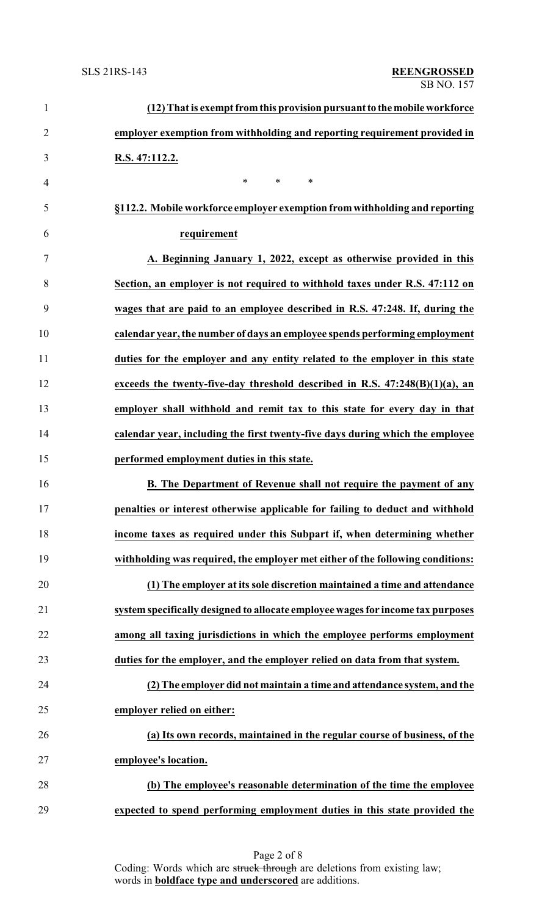| $\mathbf{1}$   | (12) That is exempt from this provision pursuant to the mobile workforce        |
|----------------|---------------------------------------------------------------------------------|
| $\overline{2}$ | employer exemption from withholding and reporting requirement provided in       |
| 3              | R.S. 47:112.2.                                                                  |
| $\overline{4}$ | $\ast$<br>$\ast$<br>∗                                                           |
| 5              | §112.2. Mobile workforce employer exemption from withholding and reporting      |
| 6              | requirement                                                                     |
| $\overline{7}$ | A. Beginning January 1, 2022, except as otherwise provided in this              |
| 8              | Section, an employer is not required to withhold taxes under R.S. 47:112 on     |
| 9              | wages that are paid to an employee described in R.S. 47:248. If, during the     |
| 10             | calendar year, the number of days an employee spends performing employment      |
| 11             | duties for the employer and any entity related to the employer in this state    |
| 12             | exceeds the twenty-five-day threshold described in R.S. $47:248(B)(1)(a)$ , an  |
| 13             | employer shall withhold and remit tax to this state for every day in that       |
| 14             | calendar year, including the first twenty-five days during which the employee   |
| 15             | performed employment duties in this state.                                      |
| 16             | B. The Department of Revenue shall not require the payment of any               |
| 17             | penalties or interest otherwise applicable for failing to deduct and withhold   |
| 18             | income taxes as required under this Subpart if, when determining whether        |
| 19             | withholding was required, the employer met either of the following conditions:  |
| 20             | (1) The employer at its sole discretion maintained a time and attendance        |
| 21             | system specifically designed to allocate employee wages for income tax purposes |
| 22             | among all taxing jurisdictions in which the employee performs employment        |
| 23             | duties for the employer, and the employer relied on data from that system.      |
| 24             | (2) The employer did not maintain a time and attendance system, and the         |
| 25             | employer relied on either:                                                      |
| 26             | (a) Its own records, maintained in the regular course of business, of the       |
| 27             | employee's location.                                                            |
| 28             | (b) The employee's reasonable determination of the time the employee            |
| 29             | expected to spend performing employment duties in this state provided the       |

Page 2 of 8 Coding: Words which are struck through are deletions from existing law; words in **boldface type and underscored** are additions.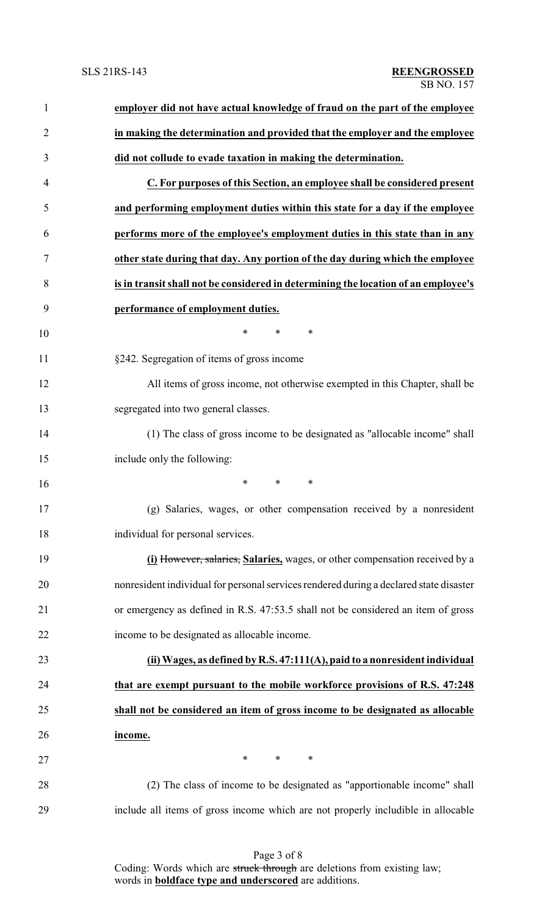| $\mathbf{1}$   | employer did not have actual knowledge of fraud on the part of the employee            |
|----------------|----------------------------------------------------------------------------------------|
| $\overline{2}$ | in making the determination and provided that the employer and the employee            |
| 3              | did not collude to evade taxation in making the determination.                         |
| $\overline{4}$ | C. For purposes of this Section, an employee shall be considered present               |
| 5              | and performing employment duties within this state for a day if the employee           |
| 6              | performs more of the employee's employment duties in this state than in any            |
| 7              | other state during that day. Any portion of the day during which the employee          |
| 8              | is in transit shall not be considered in determining the location of an employee's     |
| 9              | performance of employment duties.                                                      |
| 10             | $\ast$<br>$\ast$<br>∗                                                                  |
| 11             | §242. Segregation of items of gross income                                             |
| 12             | All items of gross income, not otherwise exempted in this Chapter, shall be            |
| 13             | segregated into two general classes.                                                   |
| 14             | (1) The class of gross income to be designated as "allocable income" shall             |
| 15             | include only the following:                                                            |
| 16             | $\ast$<br>$\ast$<br>∗                                                                  |
| 17             | (g) Salaries, wages, or other compensation received by a nonresident                   |
| 18             | individual for personal services.                                                      |
| 19             | (i) However, salaries, Salaries, wages, or other compensation received by a            |
| 20             | nonresident individual for personal services rendered during a declared state disaster |
| 21             | or emergency as defined in R.S. 47:53.5 shall not be considered an item of gross       |
| 22             | income to be designated as allocable income.                                           |
| 23             | (ii) Wages, as defined by R.S. 47:111(A), paid to a nonresident individual             |
| 24             | that are exempt pursuant to the mobile workforce provisions of R.S. 47:248             |
| 25             | shall not be considered an item of gross income to be designated as allocable          |
| 26             | income.                                                                                |
| 27             | $\ast$<br>∗<br>∗                                                                       |
| 28             | (2) The class of income to be designated as "apportionable income" shall               |
| 29             | include all items of gross income which are not properly includible in allocable       |
|                |                                                                                        |

Page 3 of 8 Coding: Words which are struck through are deletions from existing law; words in **boldface type and underscored** are additions.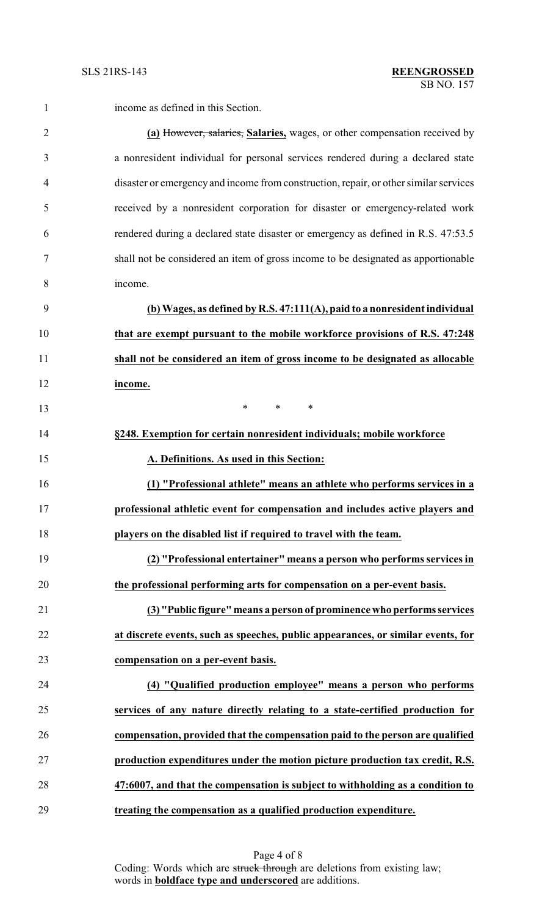| 1              | income as defined in this Section.                                                    |
|----------------|---------------------------------------------------------------------------------------|
| $\overline{2}$ | (a) However, salaries, Salaries, wages, or other compensation received by             |
| 3              | a nonresident individual for personal services rendered during a declared state       |
| $\overline{4}$ | disaster or emergency and income from construction, repair, or other similar services |
| 5              | received by a nonresident corporation for disaster or emergency-related work          |
| 6              | rendered during a declared state disaster or emergency as defined in R.S. 47:53.5     |
|                | shall not be considered an item of gross income to be designated as apportionable     |
| 8              | income.                                                                               |
| 9              | (b) Wages, as defined by R.S. $47:111(A)$ , paid to a nonresident individual          |
| 10             | that are exempt pursuant to the mobile workforce provisions of R.S. 47:248            |
| 11             | shall not be considered an item of gross income to be designated as allocable         |
| 12             | income.                                                                               |

**\*** \* \* \* **§248. Exemption for certain nonresident individuals; mobile workforce A. Definitions. As used in this Section: (1) "Professional athlete" means an athlete who performs services in a professional athletic event for compensation and includes active players and players on the disabled list if required to travel with the team. (2) "Professional entertainer" means a person who performs services in the professional performing arts for compensation on a per-event basis. (3) "Public figure" means a person of prominence who performs services at discrete events, such as speeches, public appearances, or similar events, for compensation on a per-event basis. (4) "Qualified production employee" means a person who performs**

 **services of any nature directly relating to a state-certified production for compensation, provided that the compensation paid to the person are qualified production expenditures under the motion picture production tax credit, R.S. 47:6007, and that the compensation is subject to withholding as a condition to treating the compensation as a qualified production expenditure.**

> Page 4 of 8 Coding: Words which are struck through are deletions from existing law; words in **boldface type and underscored** are additions.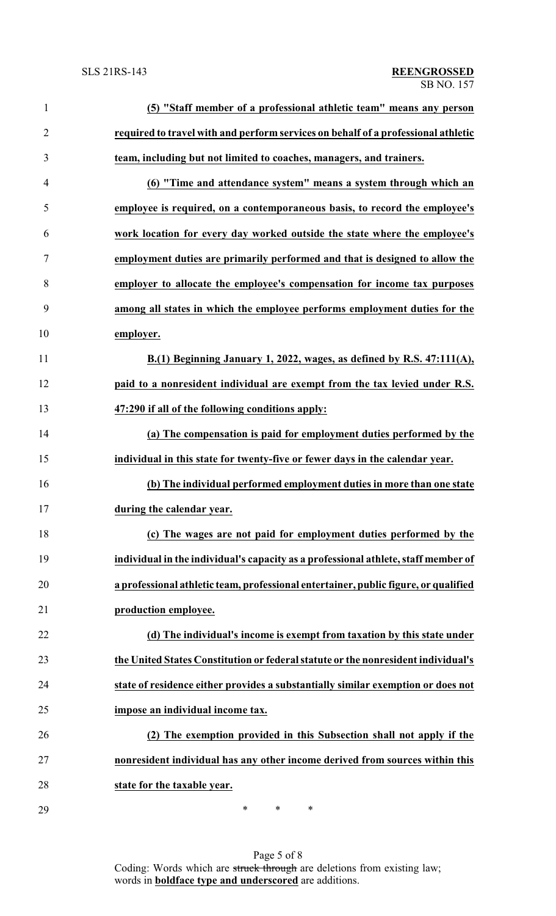| $\mathbf{1}$   | (5) "Staff member of a professional athletic team" means any person                 |
|----------------|-------------------------------------------------------------------------------------|
| $\overline{2}$ | required to travel with and perform services on behalf of a professional athletic   |
| 3              | team, including but not limited to coaches, managers, and trainers.                 |
| $\overline{4}$ | (6) "Time and attendance system" means a system through which an                    |
| 5              | employee is required, on a contemporaneous basis, to record the employee's          |
| 6              | work location for every day worked outside the state where the employee's           |
| 7              | employment duties are primarily performed and that is designed to allow the         |
| 8              | employer to allocate the employee's compensation for income tax purposes            |
| 9              | among all states in which the employee performs employment duties for the           |
| 10             | employer.                                                                           |
| 11             | B.(1) Beginning January 1, 2022, wages, as defined by R.S. 47:111(A),               |
| 12             | paid to a nonresident individual are exempt from the tax levied under R.S.          |
| 13             | 47:290 if all of the following conditions apply:                                    |
| 14             | (a) The compensation is paid for employment duties performed by the                 |
| 15             | individual in this state for twenty-five or fewer days in the calendar year.        |
| 16             | (b) The individual performed employment duties in more than one state               |
|                | during the calendar year.                                                           |
| 18             | (c) The wages are not paid for employment duties performed by the                   |
| 19             | individual in the individual's capacity as a professional athlete, staff member of  |
| 20             | a professional athletic team, professional entertainer, public figure, or qualified |
| 21             | production employee.                                                                |
| 22             | (d) The individual's income is exempt from taxation by this state under             |
| 23             | the United States Constitution or federal statute or the nonresident individual's   |
| 24             | state of residence either provides a substantially similar exemption or does not    |
| 25             | impose an individual income tax.                                                    |
| 26             | The exemption provided in this Subsection shall not apply if the                    |
| 27             | nonresident individual has any other income derived from sources within this        |
| 28             | state for the taxable year.                                                         |
| 29             | ∗<br>$\ast$<br>∗                                                                    |

Page 5 of 8 Coding: Words which are struck through are deletions from existing law; words in **boldface type and underscored** are additions.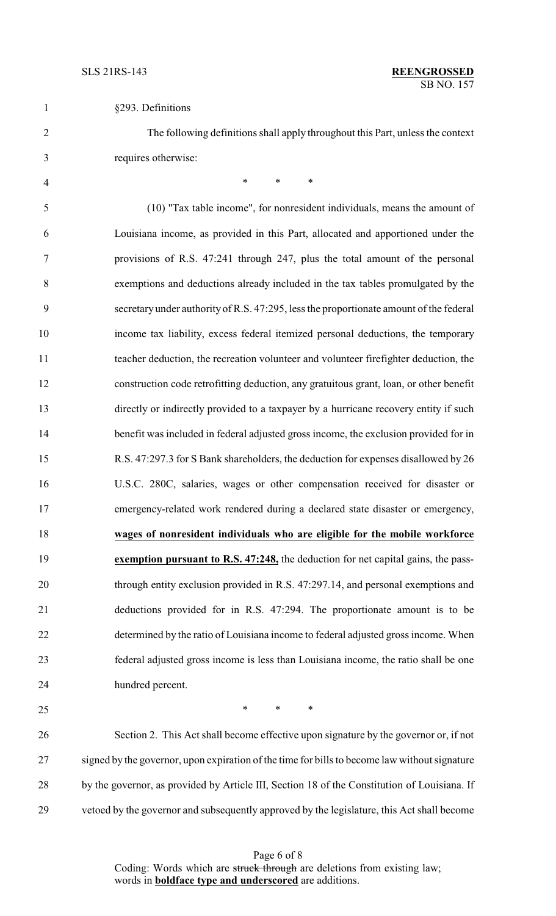| §293. Definitions |
|-------------------|
|                   |

 The following definitions shall apply throughout this Part, unless the context requires otherwise:

4 \* \* \* \* (10) "Tax table income", for nonresident individuals, means the amount of Louisiana income, as provided in this Part, allocated and apportioned under the provisions of R.S. 47:241 through 247, plus the total amount of the personal exemptions and deductions already included in the tax tables promulgated by the secretary under authority of R.S. 47:295, less the proportionate amount of the federal income tax liability, excess federal itemized personal deductions, the temporary teacher deduction, the recreation volunteer and volunteer firefighter deduction, the construction code retrofitting deduction, any gratuitous grant, loan, or other benefit directly or indirectly provided to a taxpayer by a hurricane recovery entity if such benefit was included in federal adjusted gross income, the exclusion provided for in R.S. 47:297.3 for S Bank shareholders, the deduction for expenses disallowed by 26 U.S.C. 280C, salaries, wages or other compensation received for disaster or emergency-related work rendered during a declared state disaster or emergency, **wages of nonresident individuals who are eligible for the mobile workforce exemption pursuant to R.S. 47:248,** the deduction for net capital gains, the pass- through entity exclusion provided in R.S. 47:297.14, and personal exemptions and deductions provided for in R.S. 47:294. The proportionate amount is to be determined by the ratio of Louisiana income to federal adjusted gross income. When federal adjusted gross income is less than Louisiana income, the ratio shall be one hundred percent.

 $*$  \* \* \*

 Section 2. This Act shall become effective upon signature by the governor or, if not signed by the governor, upon expiration of the time for bills to become law without signature 28 by the governor, as provided by Article III, Section 18 of the Constitution of Louisiana. If vetoed by the governor and subsequently approved by the legislature, this Act shall become

> Page 6 of 8 Coding: Words which are struck through are deletions from existing law; words in **boldface type and underscored** are additions.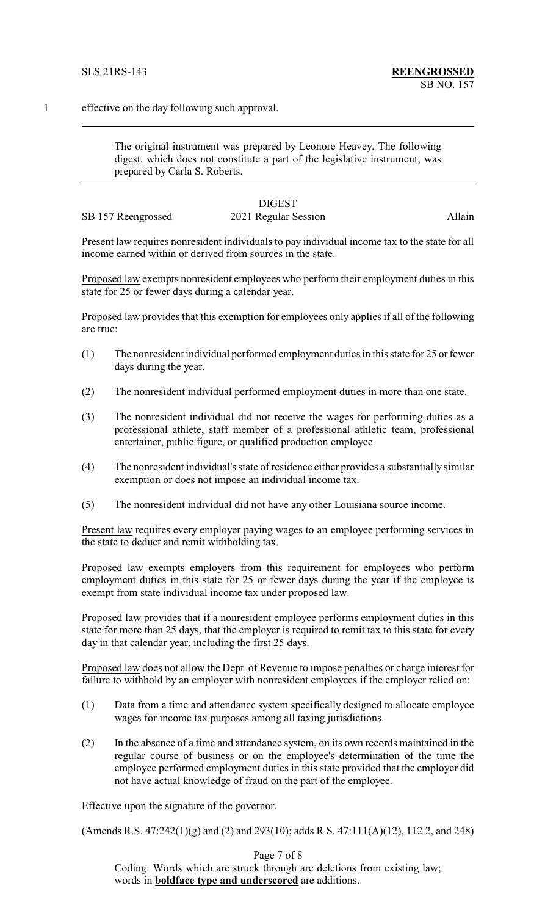1 effective on the day following such approval.

The original instrument was prepared by Leonore Heavey. The following digest, which does not constitute a part of the legislative instrument, was prepared by Carla S. Roberts.

# DIGEST

SB 157 Reengrossed 2021 Regular Session Allain

Present law requires nonresident individuals to pay individual income tax to the state for all income earned within or derived from sources in the state.

Proposed law exempts nonresident employees who perform their employment duties in this state for 25 or fewer days during a calendar year.

Proposed law provides that this exemption for employees only applies if all of the following are true:

- (1) The nonresident individual performed employment duties in this state for 25 or fewer days during the year.
- (2) The nonresident individual performed employment duties in more than one state.
- (3) The nonresident individual did not receive the wages for performing duties as a professional athlete, staff member of a professional athletic team, professional entertainer, public figure, or qualified production employee.
- (4) The nonresident individual's state of residence either provides a substantially similar exemption or does not impose an individual income tax.
- (5) The nonresident individual did not have any other Louisiana source income.

Present law requires every employer paying wages to an employee performing services in the state to deduct and remit withholding tax.

Proposed law exempts employers from this requirement for employees who perform employment duties in this state for 25 or fewer days during the year if the employee is exempt from state individual income tax under proposed law.

Proposed law provides that if a nonresident employee performs employment duties in this state for more than 25 days, that the employer is required to remit tax to this state for every day in that calendar year, including the first 25 days.

Proposed law does not allow the Dept. of Revenue to impose penalties or charge interest for failure to withhold by an employer with nonresident employees if the employer relied on:

- (1) Data from a time and attendance system specifically designed to allocate employee wages for income tax purposes among all taxing jurisdictions.
- (2) In the absence of a time and attendance system, on its own records maintained in the regular course of business or on the employee's determination of the time the employee performed employment duties in this state provided that the employer did not have actual knowledge of fraud on the part of the employee.

Effective upon the signature of the governor.

(Amends R.S. 47:242(1)(g) and (2) and 293(10); adds R.S. 47:111(A)(12), 112.2, and 248)

Page 7 of 8

Coding: Words which are struck through are deletions from existing law; words in **boldface type and underscored** are additions.